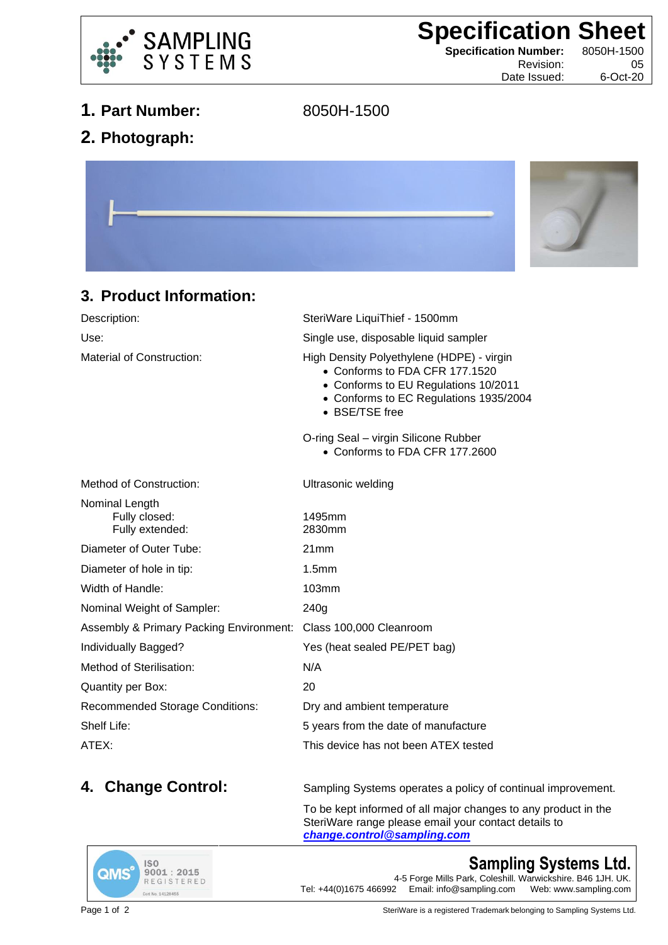

**Specification Sheet**<br>
Specification Number: 8050H-1500

**Specification Number:** 

Revision: 05 Date Issued: 6-Oct-20

- **1. Part Number:** 8050H-1500
	-

**2. Photograph:**



## **3. Product Information:**

| Description:                                       | SteriWare LiquiThief - 1500mm                                                                                                                                                   |
|----------------------------------------------------|---------------------------------------------------------------------------------------------------------------------------------------------------------------------------------|
| Use:                                               | Single use, disposable liquid sampler                                                                                                                                           |
| Material of Construction:                          | High Density Polyethylene (HDPE) - virgin<br>• Conforms to FDA CFR 177.1520<br>• Conforms to EU Regulations 10/2011<br>• Conforms to EC Regulations 1935/2004<br>• BSE/TSE free |
|                                                    | O-ring Seal - virgin Silicone Rubber<br>• Conforms to FDA CFR 177.2600                                                                                                          |
| Method of Construction:                            | Ultrasonic welding                                                                                                                                                              |
| Nominal Length<br>Fully closed:<br>Fully extended: | 1495mm<br>2830mm                                                                                                                                                                |
| Diameter of Outer Tube:                            | 21mm                                                                                                                                                                            |
| Diameter of hole in tip:                           | 1.5 <sub>mm</sub>                                                                                                                                                               |
| Width of Handle:                                   | <b>103mm</b>                                                                                                                                                                    |
| Nominal Weight of Sampler:                         | 240g                                                                                                                                                                            |
| <b>Assembly &amp; Primary Packing Environment:</b> | Class 100,000 Cleanroom                                                                                                                                                         |
| Individually Bagged?                               | Yes (heat sealed PE/PET bag)                                                                                                                                                    |
| Method of Sterilisation:                           | N/A                                                                                                                                                                             |
| Quantity per Box:                                  | 20                                                                                                                                                                              |
| <b>Recommended Storage Conditions:</b>             | Dry and ambient temperature                                                                                                                                                     |
| Shelf Life:                                        | 5 years from the date of manufacture                                                                                                                                            |
|                                                    |                                                                                                                                                                                 |

ATEX: This device has not been ATEX tested

**4. Change Control:** Sampling Systems operates a policy of continual improvement.

To be kept informed of all major changes to any product in the SteriWare range please email your contact details to *[change.control@sampling.com](mailto:change.control@sampling.com)*



**Sampling Systems Ltd.** 4-5 Forge Mills Park, Coleshill. Warwickshire. B46 1JH. UK.<br>Tel: +44(0)1675 466992 Email: info@sampling.com Web: www.sampling.com Email: info@sampling.com